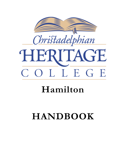



# HERITAGE COLLEGE

## **Hamilton**

## **HANDBOOK**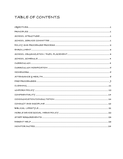## TABLE OF CONTENTS

| $\label{eq:HOMEWORK} \textit{HOMEWORK} \textit{} \textit{} \textit{} \textit{} \textit{} \textit{} \textit{} \textit{} \textit{} \textit{} \textit{} \textit{} \textit{} \textit{} \textit{} \textit{} \textit{} \textit{} \textit{} \textit{} \textit{} \textit{} \textit{} \textit{} \textit{} \textit{} \textit{} \textit{} \textit{} \textit{} \textit{} \textit{} \textit{} \$ |
|-------------------------------------------------------------------------------------------------------------------------------------------------------------------------------------------------------------------------------------------------------------------------------------------------------------------------------------------------------------------------------------|
|                                                                                                                                                                                                                                                                                                                                                                                     |
|                                                                                                                                                                                                                                                                                                                                                                                     |
|                                                                                                                                                                                                                                                                                                                                                                                     |
|                                                                                                                                                                                                                                                                                                                                                                                     |
|                                                                                                                                                                                                                                                                                                                                                                                     |
|                                                                                                                                                                                                                                                                                                                                                                                     |
|                                                                                                                                                                                                                                                                                                                                                                                     |
|                                                                                                                                                                                                                                                                                                                                                                                     |
|                                                                                                                                                                                                                                                                                                                                                                                     |
|                                                                                                                                                                                                                                                                                                                                                                                     |
|                                                                                                                                                                                                                                                                                                                                                                                     |
|                                                                                                                                                                                                                                                                                                                                                                                     |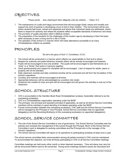## OBJECTIVES

*"These words … thou shalt teach them diligently unto thy children …" (Deut. 6:7)*

- 1. The maintenance of a safe and happy environment that will encourage Godly values and morality and support the work of parents in developing a love of God in their children. This environment will be one where students feel loved, valued and respected and where their individual needs are addressed, where there is respect for authority and where the students reflect acceptable standards of behaviour and dress.
- 2. The provision of quality education within a Biblical context.
- 3. The preparation of the students for the challenges of this modern age by developing in them the basic skills necessary to earn a living and for a life in Christ.
- 4. The operation of the school in a manner which will make attendance accessible to as many Christadelphian children as possible.

## PRINCIPLES

*"Do all to the glory of God" (1 Corinthians 10:31)*

- 1. The school will be conducted in a manner which reflects our responsibility to God and to others.
- 2. Respect for authority and polite behaviour towards others will be actively encouraged and fostered.
- 3. Pupils will be encouraged to love one another. The pupils will be encouraged to see themselves as a "body" or a "family" that works in harmony together.
- 4. Good sportsmanship and respect for discipline will be encouraged. Lack of respect for adults, peers or property will not be tolerated.
- 5. Daily classroom worship and daily combined worship will be conducted and will form the foundation of the school's operations.
- 6. Courtesy and manners will be encouraged at all times.
- 7. Appropriate behaviour will be acknowledged as a positive role model.
- 8. Scriptural role models for boys and girls will be encouraged and will govern the activities in and out of the classroom.

## SCHOOL STRUCTURE

- 1. CHC is accountable to the Hamilton Book Road Christadelphian ecclesia, hereinafter referred to as the overseeing ecclesia(s).
- 2. CHC is a Christadelphian organization operating under the BASF.
- 3. The principal, vice principal and assistant principal (if applicable), as well as all School Service Committee members will be members in good standing of ecclesias operating under the BASF.
- 4. Formal communication between the overseeing ecclesia(s), CHC staff and the School Service Committee will be managed by the Principal or Vice Principal, School Service Committee chair (or appointed delegate(s)) and the Recording Brother(s) of the overseeing ecclesia(s) (or appointed delegate(s)).

## SCHOOL SERVICE COMMITTEE

- 1. The role of the School Service Committee is one of governance. The School Service Committee sets the policies and oversees the management of the school through the Principal. Much of the School Service Committee's work is delegated to working committees and the Principal who is the manager of the school's operations.
- 2. The School Service Committee will report on its operations to participating ecclesias at least once a year.

The school service committee feels communication among all parties involved in CHC must be maintained. To accommodate this objective, we invite all those participating in CHC to all Service Committee meetings.

Committee meetings are held every other month or when deemed necessary. Time and place may vary but will be announced before hand to all concerned. During some meetings sensitive issues are discussed and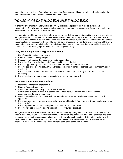cannot be shared with non-Committee members, therefore issues of this nature will be left to the end of the meetings allowing time for non-Committee members to exit.

## POLICY AND PROCEDURE PROCESS

In order for any organization to function effectively, policies and procedures must be drafted and implemented. The following are guidelines to ensure that appropriate processes are followed in creating and putting such policies and procedures into effect.

The operation of CHC may be divided into two main areas: its business affairs, and its day to day operations. As a general rule, policies and procedures having to do with its day to day operation will be drafted by the staff, while those having to do with its business affairs will be drafted by the Service Committee or a delegated subcommittee. Identification of the need for any policy or procedure may be done by any member of the CHC community. In order to remain in effect, all policies and procedures must have final approval by the Service Committee and the Arranging Boards of the overseeing ecclesia(s).

#### **Daily School Operation: (e.g. Uniform Policy)**

- 1. Identify need for policy or procedure.
- 2. Refer to principal or vice principal.
- 3. Principal or VP agrees that policy or procedure is needed.
- 4. Policy is referred to individual or staff subcommittee to be drafted.
- 5. Policy is approved by staff committee. (may be returned to drafters for revisions)
- 6. Policy is approved by Principal/VP/Asst. Principal. (may be returned to drafters and/or staff committee for revisions)
- 7. Policy is referred to Service Committee for review and final approval. (may be returned to staff for revisions)
- 8. Policy is referred to the overseeing ecclesia(s) for review and approval

#### **Business Operations (e.g. Staffing)**

- 1. Identify need for policy or procedure.
- 2. Refer to Service Committee.
- 3. Committee agrees that policy or procedure is needed
- 4. Committee will normally refer to subcommittee to draft policy or procedure but may in limited circumstances draft as a committee.
- 5. Committee reviews and approves policy or procedure (may return to subcommittee for revisions, if applicable.)
- 6. Policy or procedure is referred to parents for review and feedback (may return to Committee for revisions, if applicable.)
- 7. Policy or procedure receives final approval from the Service Committee.
- 8. Policy is referred to the overseeing ecclesia(s) for review and approval

As a general rule, all deliberations of the Service Committee regarding new policies and procedures will be open to all as regular Service Committee meetings. In limited circumstances, when the Committee has failed to reach a resolution in an open committee meeting, it may choose to continue deliberations on its own. In these cases, those drafting such policy or procedure shall be informed confidentially of the reasons for referral. In all cases, the final decision will be made at an open committee meeting.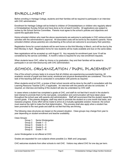## ENROLLMENT

Before enrolling in Heritage College, students and their families will be required to participate in an interview with CHC administration.

Enrollment for Heritage College will be limited to children of Christadelphians or children who regularly attend a Christadelphian Sunday School and have done so for at least 6 months. All applications are subject to review by the School Service Committee. Parents must agree to the school's policies and objectives and submit the applicable forms.

Home schooled children who meet the above requirements are welcome to participate in CHC extracurricular activities with the administration's approval. All associated costs will be borne by the student's parents. Home schooled children whose parent(s) are volunteering at the school are welcome to accompany their parent(s).

Registration forms for current students will be sent home on the third Monday in March, and will be due by the third Monday in April. Registration forms for new students will be made available and due on the same dates.

New registrations will be accepted up until August 15. Any requests for enrollment past June 15 will be considered by the service committee. A month's notice is required for any new enrollment requests.

When students leave CHC, either by choice or by graduation, they and their families will be asked to participate in an exit interview/survey with CHC administration.

## SCHOOL ORGANIZATION / PUPIL PLACEMENT

One of the school's primary tasks is to ensure that all children are experiencing successful learning. All academic records of pupils and their social, emotional and physical developments are considered. This is the task of the teaching staff and is conducted in consultation with parents as required.

When students enroll at CHC, a review of their school records will be done by the staff in consultation with the Learning Resource Teacher (LRT), if applicable. An interview with the parents will also be conducted. If required, an interview and testing of the student will also be undertaken by CHC staff.

In cases where a student has completed a grade at CHC, and staff do not feel that it would in the student's best interest to promote them to the next grade, consultation and communication will have taken place throughout the school year with parents and administrators. Staff will recommend that the student repeat the current grade. If the parents disagree, staff may elect to promote the student on a one month trial basis, and reassess progress. Every effort will be made to arrive at a mutually agreeable solution; however, the school must reserve the right to make the final determination. This process shall also apply when a student has been promoted to the next grade and staff do not feel that they are thriving.

The following class structures are based on the present situation. Class groups may change from year to year depending on student enrollment and teacher availability.

Class Groups:

Group 1: Senior Kindergarten Group 2: Grade  $1 - 2$ Group 3: Grade  $3 - 4$ Group 4: Grade  $5-6$ Group 5: Grade  $7 - 8$ 

Junior Kindergarten is not offered at CHC.

Grades are separated for core subjects where possible (i.e. Math and Language).

CHC welcomes students from other schools to visit CHC. Visitors may attend CHC for one day per term.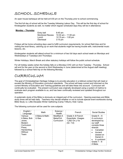## SCHOOL SCHEDULE

An open house barbeque will be held at 6:00 pm on the Thursday prior to school commencing.

The first full day of school will be the Tuesday following Labour Day. This will be the first day of school for Kindergarten students as well, no matter which regular scheduled days they will be in attendance.

| <u> Monday – Thursday</u> |                         |                       |
|---------------------------|-------------------------|-----------------------|
|                           | Entry bell              | $8:45$ am             |
|                           | <b>Monitored Recess</b> | 10:30 am $-$ 11:00 am |
|                           | Lunch                   | 12:15 pm $-$ 1:00 pm  |
|                           | <b>Dismissal</b>        | $3:15 \text{ pm}$     |
|                           |                         |                       |

Fridays will be home schooling days used to fulfill curriculum requirements, for school field trips and for visiting the local library, catching up on work that students might be having trouble with, instrumental music lessons, etc.

Kindergarten students will attend school for a minimum of two full days each school week on Mondays and Wednesdays or Tuesdays and Thursdays.

Winter Holidays, March Break and other statutory holidays will follow the public school schedule.

For all holiday weeks (when the holiday falls on a Monday) CHC will run from Tuesday - Thursday. School will end for the year on the second or third Wednesday in June (determined at the August staff meeting), followed by a school field trip on the following Monday.

### CURRICULUM

The goal of Christadelphian Heritage College is to provide education in a biblical context that will meet or exceed the Ministry of Education curriculum standards. The school will keep current and informed on the current Ministry of Education and Training guidelines and will take these into account. Curriculum will continually be evaluated. The present curriculum was originally developed using a system of metrics to evaluate each program available to us, and has been continually reviewed and updated throughout our operation.

A systematic study of the Bible is obviously an integral part of the curriculum. Opening exercises and Bible study times will be held daily. Teachers may decide whether or not to include special event workbooks during Bible Study i.e. Little Disciples Winter Gathering (Camp Trillium), Kids' Camp.

The following curriculum will be used for core subjects:

| English /<br>Language                                                                                  | Math                    | Science /<br>Health                   | French                                                                 | Social Studies                                                                                                                                                                                 |
|--------------------------------------------------------------------------------------------------------|-------------------------|---------------------------------------|------------------------------------------------------------------------|------------------------------------------------------------------------------------------------------------------------------------------------------------------------------------------------|
| Various:<br>A Beka, Bob<br>Jones.<br>Modern<br>Curriculum<br>Press,<br>Handwriting<br>Without<br>Tears | A Beka & Math-<br>U-See | Modified A<br>Beka/Ont.<br>Curriculum | Grade 4-8 French<br>Essentials, Visages<br>1,2&3 On y Va<br>(Gr. 7, 8) | Grade $K - 6$<br>A curriculum<br>developed by<br>our staff<br>consists three<br>strands:<br>Canadian<br>Ancient<br>$\bullet$<br>(based on<br>Daniel 2)<br>A continent<br>Grade $7-8$<br>A Beka |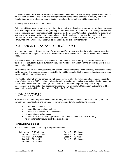Formal evaluation of a student's progress in the curriculum will be in the form of two progress report cards on the last week of October and March and two regular report cards on the last week of January and June. Regular informal parent-teacher communication throughout the school year will be encouraged.

In all subjects, 50% will constitute a pass.

Field trips will take place periodically throughout the school year. Teachers are requested to plan at least one class field trip per term. Field trips will generally be approved by the Principal or Vice Principal, however any field trip requiring an overnight stay must be approved by the Service Committee. Class field trip budgets will be determined by using the field trip budget allocation. Staff members can contact the committee Treasurer for class field trip amounts. There will also be field trips which involve the whole school, e.g. Brantwood Farms, Wild Waterworks, etc. These will be organized by a Field Trip Coordinator.

## CURRICULUM MODIFICATION

A student may have curriculum content of a subject modified in the event that the student cannot meet the expectations of the subject curriculum or exceeds the expectations of the subject curriculum on a consistent basis.

If, after consultation with the resource teacher and the principal or vice principal, a student's classroom teachers feel a student's subject curriculum should be modified, they will inform the student's parents of the suggested modifications.

If a student's parents feel a subject curriculum should be modified for their child, they may suggest this to their child's teacher. If a resource teacher is available they will be consulted in the school's decision as to whether such modification should take place.

This modified plan will only be carried out with the approval of all of the following parties: student's parents, student's teacher, and CHC principal or vice-principal. A teacher may decline approval of this plan based on limited resources and/or time. If an agreement cannot be reached, the parent may elect to request reassessment at a later date. If an agreement is reached, the Curriculum Modification Outline form will be completed, signed and filed in the student's OSR in the CHC office.

## HOMEWORK

Homework is an important part of all students' learning processes. Good work habits require a joint effort between students, teachers and parents. Homework is important for the following reasons:

- to reinforce school activities
- to extend/broaden school activities
- to provide drill/practice for specific skills
- to complete unfinished tasks
- to provide parents with an opportunity to become involved in the child's learning
- to promote/foster regular study habits in children

#### **Homework Guidelines**

Based on school nights i.e. Monday through Wednesday

| Kindergarten: 5-10 minutes | Grade 5: 50 minutes |
|----------------------------|---------------------|
| Grade 1: 10-15 minutes     | Grade 6: 60 minutes |
| Grade 2: 20 minutes        | Grade 7: 70 minutes |
| Grade 3: 30 minutes        | Grade 8: 80 minutes |
| Grade 4: 40 minutes        |                     |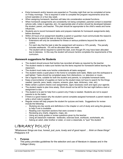- Extra homework and/or lessons are expected on Thursday night that can be completed at home on Friday mornings. This is required in order to complete the program requirements since the school operates on a four-day week.
- When assigning homework, teachers will take into consideration ecclesial functions.
- When homework assignments are consistently not being completed, parental contact is essential (phone calls, notes in agendas, etc). An appropriate plan of action should be developed between the student, parent, and teacher. This plan should be appropriate to the child's needs and home influences.
- Students are to record homework tasks and prepare materials for homework assignments daily before dismissal.
- Within 24 hours of an assignment deadline a parent or guardian must communicate the reason/s for the failure to submit the task on time to the teacher.
	- o Extensions will only be considered for illness or serious problems beyond the student's control.
	- $\circ$  For each day that the task is late the assignment will receive a 10% penalty. The penalty includes weekends. 0% will be allocated after one week.
	- $\circ$  The student will be required to submit the task, even though 0% may have been allocated due to lateness. In this way the student will ensure he/she completes the requirements of the curriculum.

#### **Homework suggestions for Students**

- The student should ensure that he/she has recorded all tasks as required by the teacher.
- The student needs to make sure he/she has the items required for homework before leaving the classroom.
- The student must make sure he/she understands all tasks assigned.
- The student needs a quiet place in the home to complete work tasks. Make sure the workspace is well lighted. Tasks should be completed away from distractions, i.e. television or music.
- Set a regular time, suitable for both the student and parents, to complete homework tasks.
- Keep a box/container of supplies on hand so the student does not have to search for the things needed. (pencils, pens, leads, crayons, scissors, glue, tape, dictionary, ruler, etc).
- Make certain a parent checks over assignments, signs necessary work and signs your agenda.
- The student needs to plan time wisely. Work should not be left for the last night before a test or assignment is due.
- The student is to ask for help from a parent only if help is needed. Students are not to expect parents to do the tasks.
- If there is a good reason why the student cannot complete assigned homework a parent needs to write a short note to explain.
- Regular review will help prepare the student for quizzes and tests. Suggestions for review include the following:
	- $\circ$  Studying any key words and definitions in the chapter or unit of study and using the glossary to help if one is available.
	- o Reading over important sections that were covered in class.
	- o Reviewing any charts, diagrams, maps, etc.
	- o Using any study guides or review questions given by the teacher.
	- $\circ$  Using all classroom materials textbooks, exercise book, workbook, worksheets, etc.
	- $\circ$  Asking an adult, older brother or sister, or even a classmate, to "quiz" the student.

## LIBRARY POLICY

*"Whatsoever things are true, honest, just, pure, lovely and of good report … think on these things" Philippians 4:8*

#### **1. Purpose**

This policy provides guidelines for the selection and use of literature in classes and in the College Library.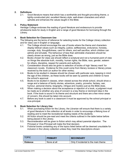#### **2. Definitions**

2.1. *Good literature* means that which has a worthwhile and thought-provoking theme, a tightly-constructed plot, excellent literary style, well-drawn characters and which upholds and enhances the values taught in the Bible.

#### **3. Policy Statement**

Heritage College endorses the reading of good literature and endeavours to provide wholesome texts for study in English and a range of good literature for borrowing through the Library.

#### **4. Book Selection for Classroom Use**

The following are the terms of reference for selecting books for the College Library collection and for class use in English or language.

- 4.1. The College should encourage the use of books where the theme and characters display biblical values such as integrity, justice, selflessness, endurance, honesty, courage, duty, thoughtfulness, care for others, and self sacrifice, which children can admire and emulate. The behaviour of less than admirable characters should be clearly shown as wrong, just as the Bible does.
- 4.2. Books chosen for class use should reflect a scriptural and not a humanist point of view on things like absolute truth, morality, human rights, the Bible, race, gender, esteem for others, discipline, respect for parents and authority.
- 4.3. Consideration should also be given to selection of books of high 'literary merit' for classroom novels. Evidence for this could come from literary reviews or literary prizes received by the book (or author for other works).
- 4.4. Books to be studied in classes should be chosen with particular care, keeping in mind the age of the children, as these books will be seen by parents and children to have the school's approval.
- 4.5. Books to be studied in classes, when viewed across the whole school, should show a range and a balance of family stories, adventure, poetry, proverbs, fantasy, war, humour, personal drama, biography, intrigue and mystery just as the Bible does.
- 4.6. When making a decision about the acceptance or rejection of a book, a judgment must be made as to whether any area of concern is a key theme or dominant idea in the book. If the book is sound in its theme and structure and there are a few minor areas of concern, this should be taken into account.
- 4.7. Before any book is used in a classroom it must be approved by the school principal or vice-principal.

#### **5. Book Selection for Library Use**

- 5.1. When purchasing fiction for the Library, the Librarian will ensure that there is a variety of good literature in the collection at all levels in order to encourage a lifelong love of reading and to meet the recreational reading needs of the students.
- 5.2. All fiction should be pre-read and meet the criteria outlined in the table below before being placed in the Library.
- 5.3. Reconsideration will be given to fiction which may attract parental objection. The Principal or Vice-Principal will make the final decision.
- 5.4. Fictional books containing any of the topics listed below will be deemed unsuitable for inclusion in the Library collection unless they meet the descriptions shown:

| <b>TOPIC</b>    | <b>PRIMARY</b> | <b>SECONDARY</b>                     |
|-----------------|----------------|--------------------------------------|
| <b>Violence</b> | None at all    | Only if incidental to the main theme |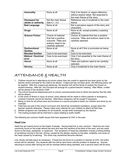| <b>Immorality</b>                | None at all                                                                                                  | Only if an illusion or vague reference<br>without explicit detail. Not essential to<br>the main theme of the story |
|----------------------------------|--------------------------------------------------------------------------------------------------------------|--------------------------------------------------------------------------------------------------------------------|
| <b>Disrespect for</b>            | Not the main theme                                                                                           | Reference only if incidental to the main                                                                           |
| adults or authority              | See 4.1, 4.2                                                                                                 | theme                                                                                                              |
| <b>Bad Language</b>              | None at all                                                                                                  | Not a pervasive aspect of the story and<br>characters                                                              |
| <b>Drugs</b>                     | None at all                                                                                                  | None at all, except possibly a passing<br>reference.                                                               |
| <b>Science Fiction</b>           | Choice of material<br>that has a positive<br>outcome. Titles and<br>authors need to be<br>carefully selected | Choice of material that has a positive<br>outcome. Titles and authors need to be<br>carefully selected             |
| <b>Dysfunctional</b><br>families | None at all                                                                                                  | None at all if this is promoted as being<br>OK.                                                                    |
|                                  |                                                                                                              |                                                                                                                    |
| <b>Blended families</b>          | Care to be exercised                                                                                         | Care to be exercised                                                                                               |
| <b>Biblical / Doctrinal</b>      | Care to be exercised                                                                                         | Only if not essential to the main theme of                                                                         |
| error                            |                                                                                                              | the story.                                                                                                         |
| <b>Horror</b>                    | None at all                                                                                                  | Titles and authors need to be carefully<br>selected.                                                               |
| <b>Sorcery</b>                   | None at all                                                                                                  | Only if incidental to the main theme                                                                               |

## ATTENDANCE & HEALTH

- 1. Children should be in attendance at school unless they are unwell or approval has been given by the teacher and/or principal for the child to be absent. If approval has not been given, the following policy will be applied: After five unapproved absences, the teacher will call the family to explain the impact on student learning. After ten, the Principal will arrange for a parent-teacher meeting. After fifteen, a letter will be placed in the student's OSR.
- 2. The school should be telephoned prior to school commencement time to inform the teacher that the child will be absent.
- 3. In the event of illness or injury at school, every attempt will be made to inform parents or emergency contacts if parents cannot be reached. Alternative caregivers will be sought if necessary.
- 4. Being on time for all school work and functions is a sound principle to teach our children and show by our example.
- 5. Field trips are part of the school curriculum and should be considered mandatory, except when the teacher requires otherwise. Please make every attempt for your children to attend all field trips.
- 6. Athletic programs are mandatory for all students, except when exempted by the teacher.
- 7. The hosting ecclesia will be informed in cases relating to public health.

The following are common health issues that have appeared at CHC in the past.

#### **Head Lice**

Head lice are insects found on the heads of people. Having head lice is very common. Head lice are most commonly found on the scalp behind the ears and near the neckline at the back of the neck, and are rarely found on the body, eyelashes, or eyebrows. The symptoms of head lice infestation include a tickling feeling of something moving in the hair, itching, caused by the allergic reaction to the bites, irritability, and sores on the head caused by scratching. The sores may sometimes become infected.

Lice checks will take place as necessary. If head lice are found on a student or teacher at CHC, the entire school will be checked. Any students with lice will be sent home until the problem is cleared up. Anyone returning to school after having lice will be checked before being admitted, and a second check will be done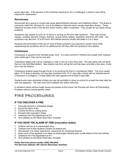seven days later. If the decision of the individual checking for lice is challenged, a doctor's note will be required for readmission.

#### **Noroviruses**

Noroviruses are a group of viruses that cause gastrointestinal (stomach and intestines) illness. This illness is commonly called the "stomach flu" (not at all related to influenza which causes respiratory illness.) These infections are seen more in the fall and winter months, often in outbreaks. They usually do not cause serious problems.

Symptoms may appear as soon as 10 hours or as long as 48 hours after exposure. They may include nausea, vomiting, stomach cramps, diarrhea, muscle aches, fatigue, headache, and fever with chills. The symptoms may last from 12 to 60 hours. But infected persons usually feel better in 2 to 3 days.

Students who have been ill with one or more of these symptoms are required to remain home while experiencing the symptoms and for an additional two full days after the symptoms have abated.

#### **Chickenpox**

Chickenpox is caused by the varicella-zoster virus. It is most common in children and usually mild; however, when adults get it, they can be very sick.

Chickenpox begins with a fever, followed in a day or two by a very itchy rash. The rash starts with red spots that turn into fluid-filled blisters. New blisters may form during the next few days, and after a few days, crusts form over the blisters.

Chickenpox spreads easily through the air or by touching the fluid in a chickenpox blister. The virus usually takes 14-16 days to develop, but may take anywhere from 10-21 days after contact with an infected person. Chickenpox is contagious 1-2 days before the rash appears and at least 5 days after.

Students who have contracted chicken pox are not permitted to return to school for at least five days after the rash has appeared. The rash must have scabbed over before returning.

In situations where serious health issues are present at the school, the Principal will inform all Participating Ecclesias without naming specific cases.

### FIRE PROCEDURES

#### **IF YOU DISCOVER A FIRE**

- 1. Evacuate persons in immediate danger.
- 2. Sound the alarm of fire
- 3. Confine the fire by closing doors.
- 4. Proceed with evacuation duties.
- 5. Telephone the Fire Department at 911.
- 6. Give address as 522 Book Road East, Ancaster.

#### **IF YOU HEAR THE ALARM OF FIRE (evacuation duties)**

- 1. Children will line up in prearranged area.
- 2. Teachers are to lead students outside via nearest exit.
- 3. One teacher is to check washrooms, classrooms for remaining students.
- 4. Head count of the students to be taken at prearranged meeting area, a safe distance from the building.
- 5. Telephone the Fire Department at 911.
- 6. Give address as 522 Book Road East, Ancaster.

#### **Police Services phone number (905) 546-4930 Fire Services address: 661 Garner Road East, Hamilton**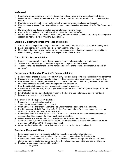#### **In General**

- 1. Keep hallways, passageways and exits (inside and outside) clear of any obstructions at all times.
- 2. Do not permit combustible materials to accumulate in quantities or locations which will constitute a fire hazard.
- 3. Promptly remove all combustible waste from all areas where waste is placed for disposal.
- 4. Keep access roadways, fire routes and fire pumper connections clear and accessible for Fire Department use.
- 5. Have a working knowledge of the fire alarm system and how it is reset.
- 6. Arrange for a substitute in your absence if you have fire duties to perform.
- 7. Distribute to occupants/employees, the fire safety procedures which apply to them (also post emergency procedures near all exits or fire alarm pull stations).

#### **Building Maintenance Person's Responsibilities**

- 1. Check, test and inspect fire safety equipment as per the Ontario Fire Code and note it in the log book.
- 2. Ensure exit doors are functioning and clear from hazards, snow, etc.
- 3. Maintain the fire alarm system and other fire protection equipment in operating condition, at all times.
- 4. Have a working knowledge of the fire alarm system and how it is reset.

#### **Office Staff's Responsibilities**

- 1. Keep the emergency plans up to date with current names, phone numbers and addresses.
- 2. To ensure that the emergency numbers are posted conspicuously in the office.
- 3. Telephone the Fire department giving name and address of the school. (designate will do so if off premises)

#### **Supervisory Staff and/or Principal's Responsibilities**

- 1. Be in complete charge of the approved Fire Safety Plan and the specific responsibilities of the personnel.
- 2. Designate and train sufficient assistants to act in this position, during any absence from the building.
- 3. Educate and train all building personnel and occupants in the use of the existing fire safety equipment, and in the actions to be taken under the approved Fire Safety Plan.
- 4. Post the exit(s) to be used by each classroom in case of evacuation.
- 5. Ensure that a schematic diagram (floor plan) showing Fire Alarms, Fire Extinguishers is posted at the main entrance.
- 6. Fire Drills shall be held three (3) times in each of the Fall and Spring terms. (6 times a year total)
- 7. Designate someone to check washrooms.

In the event of fire, the supervisory staff shall:

- 1. Ensure the fire alarm has been activated.
- 2. Supervise the evacuation of the occupants.
- 3. Upon arrival of the firefighters inform the Fire Officer regarding conditions in the building.
- 4. Provide access and vital information to firefighters (e.g. master keys for service rooms, classrooms), location of handicapped persons. (if applicable)
- 5. See that the FIRE ALARM SYSTEM IS NOT SILENCED OR RESET until the Fire Department has responded and the cause of the alarm has been investigated.
- 6. Do not re-enter the building prior to consultation with the Senior Fire Official on scene.
- 7. Alternate Alarm System: A hand bell will sound. Verbal instructions will follow and the school will be evacuated IMMEDIATELY by the supervisory staff.
- 8. When the situation is under control, inform the hosting ecclesia's Arranging Board.

#### **Teachers' Responsibilities**

- 1. Familiarize students with prescribed exits from the school as well as alternate exits.
- 2. Post exit signs in a prominent location in the classroom … at eye level for the students.
- 3. Ensure students are aware of procedures to be followed in case of emergency. Particular attention should be given to students who are away from their classroom. (e.g. in the washroom, hallways).
- 4. Practice evacuation procedures with the class:
	- a. Single file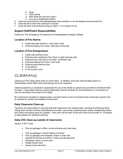- b. Quiet
- c. Walk quickly
- d. Who holds the exit door open?
- e. Line up in designated location
- 5. Take the roll and let the principal/designate know whether or not all students are accounted for.
- 6. Close all doors when the classroom is vacant.
- 7. Close all doors and windows during an alarm if it is safe to do so.

#### **Support Staff/Visitor Responsibilities**

Follow the "Fire Emergency Procedures for Christadelphian Heritage College".

#### **Location of Fire Alarms**

- $\bullet$  Inside east side entrance, north side of wall
- $\bullet$  Entering hallway from foyer, right side of doorway

#### **Location of Fire Extinguishers**

- $\bullet$  Inside west entrance door
- $\bullet$  Entering main auditorium from foyer on right doorway wall
- ◆ Entering front main doors into foyer, north/west wall
- $\bullet$  Entering hallway from foyer, south wall
- ◆ Entering east entrance door
- $\bullet$  In the kitchen
- In the furnace room

## CLEANING

Cleaning at CHC takes place daily on school days. In addition, thorough cleaning takes place on Wednesdays before Bible class and tidying prior to the weekend.

Cleaning teaches our students to appreciate the use of the facility so generously provided by the Book Road ecclesia. It also helps maintain a good relationship with the ecclesia by demonstrating our commitment to care for the facility to the best of our ability.

By involving the students in cleaning tasks, we teach them to care for personal and community property and to maintain an orderly and healthful environment.

#### **Daily Classroom Clean-up**

Teachers are responsible for ensuring that their classrooms are cleaned daily, including the following items: wiping down all hard surfaces (blackboards included), vacuuming, stacking books neatly, straightening desks and chairs and putting away all supplies. Extra care will be taken at the end of the school week on Thursdays to help prepare for weekend cleaning.

#### **Daily CHC Clean-up outside of classrooms**

Approx. 3:05-3:15pm

- Pick up garbage in office, school entrance and shoe area
- Pick up garbage in school hallway and foyer
- Pick up garbage and straighten chairs in main hall
- Sanitize doorknobs & phones in office and all entrances
- Straighten chairs in lunch area
- Sweep kitchen floor
- Sweep lunch area floor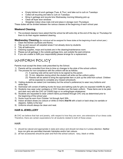- Empty kitchen & lunch garbage (Tues, & Thur.) and take out to curb on Tuesdays
- Collect all recycling and take to curb on Tuesdays
- Bring in garbage and recycle bins Wednesday morning following pick up
- Clean all foyer door windows
- Straighten indoor shoe mats (roll and place in storage room Thursdays)

These duties will be divided between the various classes at the beginning of each school year.

#### **Weekend Cleaning**

1. The ecclesial cleaners have asked that the school be left extra tidy at the end of the day on Thursdays for them to do their regular weekend cleaning.

**Wednesday Cleaning (**An individual will be assigned for these duties at the beginning of each school year.)

- 1. Clean the kitchen (surfaces and floors).
- 2. Tidy up and vacuum all carpeted areas if not already done by students.
- 3. Tidy all bathrooms.
- 4. Cleaning supplies, mops and buckets are in the cleaning/maintenance room.
- 5. Please put all garbage in the outside garbage bins, just outside the east entrance.
- 6. If you are unable to fulfill your responsibility please arrange for a replacement.

## UNIFORM POLICY

Parents must accept the dress code prescribed by the School.

- 1) Parents will be consulted from time to time on changes to the style of the school uniform.
- 2) The process for non-compliance with the uniform will be as follows:
	- (1) A warning note will be sent home to be signed by the parent.
	- (2) 15 min. detention during which the student will write out the uniform policy
	- (3) Parents will be asked to bring the appropriate item or pick up the child from school. Children will be expected to complete any missed schoolwork.
- 3) Visiting students are asked (not mandatory but the school's preference) to wear navy bottoms and white tops.
- 4) Swimwear will consist of bathing trunks for boys and bathing suits for girls (no exposed midriffs for girls).
- 5) Students may wear outer cardigans or CHC hoodies over the basic uniform. These items are to be plain and dark navy with the CHC (or CHHS) logo or no writing/logos whatsoever.
- 6) Students are requested to wear uniform items purchased through CHC only as determined prior to the beginning of the school year.
- 7) Socks must be worn from October 1st through April 30th.
- 8) Indoor all black shoes (no colours or white on them) **that fit** with a back or back strap (no sandals or slippers). Safety is the key!
- 9) Uniforms should always be clean and neat.

#### **HAIR & JEWELLERY**

At CHC we believe that hair and jewelry, with respect to how they are worn, are extensions of our dress code. Therefore, there are certain expectations for all students related to both of these areas:

#### **HAIR**

- 1) should be natural and appropriate in style and colour and should not draw to it undue attention. Neither boys nor girls are permitted dramatic hairstyles and/or hair colours.
- 2) all hair accessories should be plain and from the school colours: navy, black or white.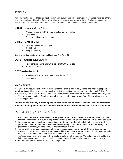#### **JEWELRY**

**Jewelry** must be in good taste and subdued in nature. Earrings, while permitted for females, must be either a stud or a small ring. **No other facial and/or body piercing rings are permitted**. Final decisions on this matter are at the discretion of the administration. Bracelets and necklaces should not be worn.

#### **GIRLS – Grades (JK) SK to 8**

- White polo shirt with CHC logo (JK/SK wear navy polos)
- Navy skort
- Socks or tights are to be dark navy.

#### **GIRLS – Grades 9-12**

- Navy polo shirt with CHC logo
- Khaki Skort
- Navy socks or tights

Socks or tights must be worn through November 1 to April 30.

#### **BOYS – Grades (JK) SK to 8**

- Navy pants or shorts and white polo shirt with CHC logo
- Socks to be navy.

#### **BOYS – Grades 9-12**

- Khaki pants or shorts and navy polo shirt with CHC logo
- Navy socks

#### **Gym Uniform**

All students are required to have CHC Heritage Hawk t-shirt, a pair of navy shorts and track/sweat pants for all sports activities i.e. soccer, gymnastics, basketball, skating, cross-country running, track & field. This is supplied by CHC using the Activity Fee. This uniform is to be worn to CHC on gym days or other days as notified by the vice principal. Street clothes will not be accepted as a gym uniform. Plain white socks can be worn on gym days.

#### **Anyone having difficulty purchasing any uniform items should request financial assistance from the individual in charge of financial assistance. Such requests and assistance will be kept in confidence.**

## Child Protection Policy

- 1. It is our desire that the children in our care experience the precious love of God as they learn in a Bible centred environment. It is our aim to provide a suitable and safe environment for both students and staff.
- 2. We recognize that as teachers or supervisors, we do not have the authority to administer physical punishment. We cannot use forceful apprehension except to restrain a child for their own safety, the protection of property, or if the safety of another person is at risk.
- 3. A child shall not be held, hugged, or otherwise touched against his or her will if they or their parents express concerns for this means of expression. Under no circumstances must a child be inappropriately touched and teachers and supervisors shall be alert to this kind of abuse.
- 4. An "open door policy" shall apply where adults are alone with a student. We will not leave a child alone in the company of only one adult in a closed room, unless the adult is the parent or legal guardian.
- 5. We will not speak to any child in a demeaning manner.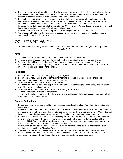- 6. It is our aim to deal quickly and thoroughly with such matters so that children, teachers and supervisors may feel confident that the environment shows due care for health and safety of all its members in a manner consistent with the laws of Christ and the statutes of Ontario.
- 7. If a teacher or supervisor has good reason to believe that they are dealing with an abused child, that teacher or supervisor with the principal or vice principal shall report the suspicion to the appropriate authorities in accordance with the Ontario Child and Family Services Act (http://www.elaws.gov.on.ca/html/statutes/english/elaws statutes 90c11 e.htm). Where this is the case, a report shall immediately be given to the CHC Service Committee chair.
- 8. Any contact to or from CAS shall be reported to the Principal and Service Committee chair.
- 9. We understand that it may be necessary to suspend a teacher or supervisor if an investigation involves questions in respect to their duty of care.

## CONFIDENTIALITY

*"He that covereth a transgression seeketh love; but he that repeateth a matter separateth very friends." (Proverbs 17:9)*

#### **Aims**

- 1. To give all staff and volunteers clear guidance as to their professional roles.
- 2. To ensure good practice throughout the school which is understood by pupils, parents and staff.
- 3. To ensure that all information that a staff member or volunteer receives in the course of their responsibilities, or observes regarding individuals at the school, is not shared with others unless required by their duties or authorized by the principal.

#### **Rationale**

- 1. For children and their families to enjoy privacy from gossip.
- 2. For students, staff, parents and committee members to recognize that inappropriate sharing of information can be damaging to individuals and families.
- 3. To enable the school to be fair to all its community.
- 4. For children and adults to have disciplinary matters dealt with according to school policy and out of the eye of the wider school community.
- 5. To enable the school to provide a safe, secure learning environment.
- 6. To hold and safeguard information received.
- 7. To remind the school community that there is a general expectation that a professional approach will be used in all matters of confidentiality.

#### **General Guidelines**

- 1. School issues and problems should not be discussed at ecclesial functions (i.e. Memorial Meeting, Bible Class, CYC)
- 2. Sensitive student and/or staff and family information will only be disclosed to committee members and/or overseeing AB members in limited circumstances as directed by the principal and Service Committee and is not to be shared with non-committee or non-AB members except with committee approval.
- 3. At committee meetings, matters such as pupil suspension or expulsion, personnel issues and personal details of any member of the school community will be dealt with in the confidential section of the meeting. This information will not be shared with any non-Committee member except on a need-to-know basis as determined by the Principal and Service Committee.
- 4. Communication between the school and parents will be handled by the teachers and/or administration if required as outlined in the Discipline Policy.
- 5. Sensitive financial information will be limited to the Treasurer, Bookkeeper and Financial Aid team.
- 6. Individuals who are responsible for serious confidentiality violation(s) will be asked to meet with the administration, Service Committee and/or overseeing ecclesia(s) arranging board(s).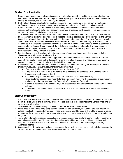#### **Student Confidentiality**

- 1. Parents must expect that anything discussed with a teacher about their child may be shared with other teachers in the same grade, and/or the principal/vice principal. If the teacher feels that other individuals should be informed, the teacher will notify the parent.
- 2. Staff will not discuss details of individual cases arising in staff meetings to any person without a direct professional connection to and interest in the welfare and education of the individual concerned.
- 3. Parents are to discourage their children from relating personally identifiable classroom information regarding other students' behaviour, academic progress, grades, or family issues. This guideline does not apply in cases of bullying or other abuse.
- 4. Staff will not enter into detailed discussions about a child's behaviour with other children or their parents.
- 5. In cases where a student is deemed to be a threat to others, a detailed report will be made to the Service Committee, who will then refer the information to the overseeing ecclesia(s) Arranging Boards. In such cases, notes and records normally restricted to teacher and administrator use may be made available.
- 6. As detailed in the Dispute Resolution policy below, parents may choose to appeal a child's suspension or expulsion to the Service Committee and, if a satisfactory resolution is not reached, to the overseeing ecclesia(s)' Arranging Board(s). In such cases, notes and records normally restricted to teacher and administrator use may be made available.
- 7. Individuals working in the school will not report cases of poor learning or pupil discipline outside the classroom except in line with school policy.
- 8. It is important that class teachers and support staff are aware of some confidential matters in order to support individuals. These staff will respect the sensitivity of such cases and not divulge information to people unconnected professionally with the individual concerned.
- 9. Access to students' Ontario Student Records is strictly limited as required by the Ministry of Education (http://www.edu.gov.on.ca/eng/document/curricul/osr/osr.html).
	- Every student has the right to have access to his or her OSR.
	- The parents of a student have the right to have access to the student's OSR, until the student becomes an adult (age eighteen).
	- Office staff may access these records in the performance of their duties only.
	- Other staff may access these records for the purpose of improving the instruction of the student, and only with the permission of the Principal, VP or Assistant Principal.
	- OSRs are not to leave the office at any time except when they are forwarded to the student's next school.
	- In all cases, information in the OSRs is not to be shared with others except on a need-to-know basis.

#### **Staff Confidentiality**

- 1. CHC maintains files on all staff and volunteers which generally include a completed Volunteer Information Form, a Police Check and a resume. These files are kept in a locked cabinet in the School office and are never to leave the office.
- 2. These files are only accessed by office staff in the performance of their duties.
- 3. In the case of volunteers completing community service or work terms, evaluations are also kept on file, unless specifically requested otherwise. These evaluations would be used only if CHC is asked to act as a reference for someone no longer working at the school, in order to ensure that accurate information can be given.
- 4. Any written information regarding disciplinary proceedings against a staff member will be kept separately and only accessed by the Principal. If a dispute is escalated beyond the school level, this information may also be made available to the Service Committee and possibly to the overseeing ecclesia(s)'. Arranging Boards.
- 5. Compensation information will be kept in a separate file in the locked cabinet and will only be accessed in order to file information or if the Treasurer/Bookkeeper requires access.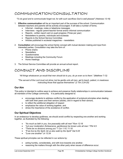## COMMUNICATION/CONSULTATION

*"To do good and to communicate forget not, for with such sacrifices God is well pleased" (Hebrews 13:16)*

- 1. **Effective communication** will be an important part of the success of the school. Communication between teachers and parents will be actively encouraged. It will take a number of forms.
	- Informal meetings, notes or telephone messages
	- Interviews regular parent-teacher formal and/or informal communication
	- Reports written report card on pupil progress (Three per year)
	- Newsletters to parents, individuals and ecclesias
	- Reports to the School Service Committee
	- Articles published in ecclesial magazines newsletters
- 2. **Consultation** will encourage the school family concept with mutual decision making and input from interested parties. Consultation may take the form of:
	- Phone chains
	- Newsletters
	- Questionnaires
	- Meetings including the Community Forum
	- Home meetings
- 3. The School Service Committee will provide an annual school report.

## CONDUCT AND DISCIPLINE

*"All things whatsoever ye would that men should do to you, do ye even so to them." (Matthew 7:12)*

*"The servant of the Lord must not strive; but be gentle unto all men, apt to teach, patient, in meekness instructing those that oppose themselves" (2 Tim 2:24-25)*

#### **Our Aim**

This policy is intended to outline ways to achieve and preserve Godly relationships in communication between all members of the College community. It is particularly designed to:

- encourage students to address conflict by the application of scriptural principles when dealing with both their peers and their seniors (adults), and in regard to their seniors,
- to reflect the additional obligation of respect
- emphasize the value of working together, and
- stress the importance of the avoidance of conflict.

#### **Our Spiritual Objectives**

In an endeavour to develop godliness, we should avoid conflict by respecting one another and working together, as illustrated by the following:

- *"As much as lieth in you, live peaceably with all men" Rom 12:18*
- *"Let your moderation (forbearance, gentleness) be known unto all men." Phil 4:5*
- *"There be no divisions among you" 1 Cor 1:10; 11:18*
- *"If we live by the Spirit, let us also walk by the Spirit" Gal 5:25*
- *"Love one another" Jn 13:34*

These spiritual principles can be reflected in our actions by:

- acting humbly, considerately, and with love towards one another.
	- reasoning the matters through with the other party when issues of difference occur.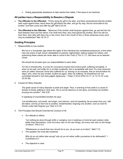• finding appropriate assistance to help resolve the matter, if the issue is not resolved.

#### **All parties have a Responsibility to Resolve a Dispute**

- **The Offender to the Offended** *"If thou bring thy gift to the altar, and there rememberest that thy brother hath ought against thee; leave there thy gift before the altar, and go thy way; first be reconciled to thy brother, and then come and offer thy gift" Mat 5:23-24.*
- **The Offended to the Offender** *"Moreover if thy brother shall trespass against thee, go and tell him his fault between thee and him alone: if he shall hear thee, thou hast gained thy brother. But if he will not hear thee, then take with thee one or two more, that in the mouth of two or three witnesses every word may be established" Mat 18:15-17.*

#### **Guiding Principles**

1. Responsibility to one another

We live in a humanistic age where the rights of the individual are considered paramount; a time when men are lovers of self, proud, disobedient to parents, highminded, without respect for others, and embracing these values are never able to come to the Truth (2 Tim 3:1-7). We have not so learned Christ.

We should be focused upon our responsibilities to each other.

*For this is thankworthy, if a man for conscience toward God endure grief, suffering wrongfully. if, when ye do well, and suffer for it, ye take it patiently, this is acceptable with God. For even hereunto were ye called: because Christ also suffered for us, leaving us an example, that ye should follow his steps: who, when he was reviled, reviled not again; when he suffered, he threatened not; but committed himself to him that judgeth righteously. 1 Peter 2:19-23 (Phil 2:5-11; Jn 13:13-15; Luke 22:24-26).*

2. Causes for Many Disputes

The great cause of many disputes is pride and anger. Paul, in warning of how pride is a cause of division to those walking in rank says*; "let us not be desirous of vain glory, provoking one another, envying one another", Gal 5:26.*

In speaking of uncontrolled emotion he says;

*"Let all bitterness, and wrath, and anger, and clamour, and evil speaking, be put away from you, with all malice: and be ye kind one to another, tenderhearted, forgiving one another, even as God for Christ's sake hath forgiven you" Eph 4:31-32.*

- 3. The Principles that Should Override the Conduct of All
	- Our attitude to others:

*"Let nothing be done through strife or vainglory; but in lowliness of mind let each esteem other better than themselves. Look not every man on his own things, but every man also on the things of others"; Phil 2:3-4.* 

*"Whatsoever ye would that men should do to you, do ye even so to them" Matt 7:12.*

The question we must ask ourselves:

*Why do ye not rather take wrong? why do ye not rather suffer yourselves to be defrauded?; 1 Corinthians 6:7.*

The objective in view: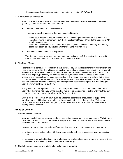*"Seek peace and ensue (to earnestly pursue after, to acquire) it"; 1 Peter 3:11.*

#### 4. Communication Breakdown

When it comes to a breakdown in communication and the need to resolve differences there are generally two major matters that are important:

The right or wrong of the point(s) at issue

In respect to this, the questions that must be asked include:

- $\circ$  Is the issue important enough to take further? In coming to a decision on this matter the injunctions found in paragraph 4.3, "The Principles that Should Override the Conduct of All", should be considered.
- $\circ$  Is there a possibility for a misunderstanding? If so, seek clarification carefully and humbly, doing unto others as you would have them do unto you (Mat 7:12).
- The relationship between the protagonists

This, in many cases, may be more important than the issue itself. The relationship referred to here is dealt with under each of the areas of conflict that follow.

5. The Role of Parents

Parents have a particular responsibility in this matter. They are the first teachers of their children and need to be perceived by their children as positive role models of dispute resolution in the home and then in the ecclesia, at work and within the College. In most cases they will be the first adult to be aware of a dispute, particularly if it involves their child, and their initial response is particularly important in either resolving an issue or escalating it. It is natural for parents to defend their children but not necessarily wise. Worse still is for a parent to defend their child when in the wrong. Levi was elevated before all Israel because they stood for rightness notwithstanding the hurt that it brought upon their own family (Deut 33:8-10).

The greatest trap for a parent is to accept the story of their child and base their immediate reaction upon what their child has said. Whilst the child may not be accustomed to telling untruths, they may not be telling (or even know) the whole truth. Proverbs 18:13

Should the dispute involve an adult, such as a teacher, parents are encouraged to support the standing that should be had by an "elder" in the eyes of their child in their reaction. To this end parents are asked not to speak derogatorily about any member of the staff of the College in the hearing of their children.

#### **Areas of Conflict**

1. Conflict between students

Many points of difference between students resolve themselves leaving no resentment. While it would have been better if no conflict arose in the first place, in these circumstances the process of conflict resolution has no real application.

However, in respect to more serious differences that may develop, students are encouraged to:

- attempt to discuss the matter with their antagonist alone. If this is unsuccessful, or not possible then
- seek some form of arbitration. This arbitration may involve a teacher or a parent (or both) or if not resolved at that level, by a senior teacher or the Principal.
- 2. Conflict between students and adults (staff, volunteers or parents)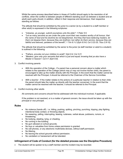Whilst the same process described below in Areas of Conflict should apply to the resolution of all conflicts, when the conflict is between people of different standing (such as between a student and an adult) each party should, in addition, reflect in their response and demeanour, their respective standing as follows:

The attitude that should be exhibited by the junior to a senior (ie by a student to a staff member or other adult) is expressed in the following scriptures:

- *"Likewise, ye younger, submit yourselves unto the elder"; 1 Peter 5:5.*
- *"Let as many servants as are under the yoke count their own masters worthy of all honour, that the name of God and his doctrine be not blasphemed. And they that have believing masters, let them not despise them, because they are brethren; but rather do them service, because they are faithful and beloved, partakers of the benefit"; 1 Tim 6:1-2 (Eph 6:5-8; Col 3:22-25; Titus 2:9-10).*

The attitude that should be exhibited by the senior to the junior (ie staff member or adult to a student) is outlined in the following:

- *"Fathers, provoke not your children to wrath"; Eph 6:4; Col 3:21.*
- *"Masters, give unto your servants that which is just and equal; knowing that ye also have a Master in heaven"; Col 4:1 (Eph 6:9).*

#### 3. Conflict involving parents

- *With the operation of the College*  If a parent has a personal concern about a matter which relates to the operation of the College (which may or may not involve his/her child), the parent is encouraged to take up the matter directly with the Principal. In the event that the matter cannot be resolved with the Principal, it should be referred to the Chairman of the Service Committee.
- *With a teacher* If the matter relates to the actions of a particular teacher in relation to their child, the parent should take the matter up directly with the teacher concerned. In the event that the matter cannot be resolved with the teacher, it should be referred to the Principal.
- 4. Conflict involving other adults

All comments and concerns should first be addressed with the individual involved, if applicable.

If the problem is not resolved, or is a matter of general concern, the issue should be taken up with the principal or vice principal.

#### **Rules**

- No violence (hands off): i.e. hitting, pushing, spitting, pinching, punching, tripping, play fighting, intentional body contact, or throwing objects.
- No swearing, yelling, interrupting, teasing, rudeness, verbal abuse, putdowns, rumors, or threatening.
- No bullying, stealing, lying, or cheating.
- No running in the building.
- No gum allowed on school grounds.
- No toys or valuables from home unless permission is granted.
- No cell phones, or any electronic multimedia devices, without staff permission.
- No littering.
- No leaving the school grounds without permission.
- No vandalism or harassment will be tolerated.

#### **Infringement of Code of Conduct (for the detailed process see the Discipline Procedure)**

The student will be spoken to by a staff member and the incident may be recorded.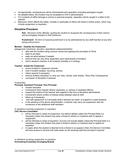- As appropriate, consequences will be administered and reparation (including apologies) sought.
- As detailed below, the incident may be escalated to CHC's administration.
- For incidents of willful damage to school or personal property, reparation will be sought in a letter to the parents.
- Behaviour which affects the safety, morality or spirituality of others will result in further action, which may include suspension or expulsion.

#### **Discipline Procedure**

**Aim:** *Recovery of the offender, guiding the student to recognize the consequences of their actions and encouraging changes to their behaviour.*

**Punishment:** *No form of corporal punishment is to be administered by any staff member at any time during school hours.*

#### **Monitor - Outside the Classroom**

(playground, lunchroom, devotion, specialized subjects/activities)

- deal with the incident using common sense and applying the principles of Christ
	- listen to all sides
	- seek out adult witness if needed
	- enforce time-out only (time dependent upon seriousness of incident)
	- inform student's teacher of all incidents (verbally or in writing)

#### **Teacher - Inside the Classroom**

- record incident in classroom records
- note if incident isolated, recurring, serious
- inform parents if necessary
- enforce (further) discipline i.e. time out, lines, chores, work sheets, "Story Plan Consequence"
- conclusion of discipline if resolved

#### *If warranted*

#### **Principal, Assistant Principal, Vice Principal**

- monitor discipline
- involvement when teacher deems necessary i.e. serious or repeated offence
- support the actions of the teacher with regards to the form of discipline administered
- involvement where conflict of interest exists between adult & child
- follow up if necessary
- only with agreement of 2 principals shall a decision be made to suspend or expel students
- in the absence of the above administration, a teacher may carry out suspension with the consensus of two additional staff members

#### *In situations involving suspension or expulsion*

#### **CHC Service Committee**

- will be informed in cases of suspension, but without details unless the Principal feels it is necessary (when the student may pose a threat to others) or if parents wish to appeal a suspension
- will be informed in cases of expulsion, but may not include details unless the Principal feels it is necessary (when the student may pose a threat to others) or if parents wish to appeal an expulsion
- In cases when the student is deemed to be a threat or an appeal is filed, the Service Committee will have access to records and notes taken by the teaching staff and principal if required.

*In situations involving suspension or expulsion* **Overseeing Ecclesia(s) Arranging Boards**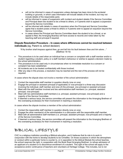- will not be informed in cases of suspension unless damage has been done to the ecclesial building or grounds, in which case information will include details of the incident, but may not include details of the responsible party
- will be informed in cases of suspension with incident and student details if the Service Committee and Principal deem the student to be a threat to others, or if parents wish to appeal a suspension beyond the Service Committee.
- will be informed with details in cases of expulsion when the Principal and Service Committee agree that a student poses a threat to others or if parents wish to appeal an expulsion beyond the Service Committee.
- in cases where the Principal and Service Committee deem the student to be a threat, or an appeal is filed, the Arranging Board(s) will have access to records and notes taken by the teaching staff and principal if required.

#### **Dispute Resolution Procedure – In cases where differences cannot be resolved between individuals** (eg. Parent vs. school decision)

*"If thy brother shall trespass against thee, go and tell him his fault between thee and him alone…" (Matthew 18:15)*

- This procedure is to be used when an individual has a concern or complaint with a staff member and/or a student regarding a student, policy or a staff member's behaviour or wishes to appeal a decision made by the school administration.
- This procedure is to be used only in circumstances when no immediate resolution to a concern or complaint has been established.
- All incidents are to be treated confidentially with those involved.
- After any step in this process, a resolution may be reached and the rest of the process will not be required.

*In cases where the dispute does not involve a member of the school administration:*

- 1. Contact the responsible staff member in question directly (one on one).
- 2. Engage the principal or assistant principal (if applicable) or vice-principal in a three way discussion involving the individual, staff member and (one of) the principal, vice principal or assistant principal.
- 3. Meet with the staff member involved and two administrative staff members (i.e. principal, assistant principal, vice-principal)
- 4. Meet with two administrative staff members (i.e. principal, assistant principal, vice-principal) and a majority of the Service Committee.
- 5. If deemed a serious issue, the service committee will present the information to the Arranging Brethren of the overseeing ecclesia(s) for their involvement in reaching a resolution.

*In cases where the dispute involves a member of the school administration:*

- 1. Contact the responsible staff member in question directly (one on one).
- 2. Engage the other member(s) of the administration in a discussion with the responsible staff member.
- 3. Meet with all administrative staff members (i.e. principal, assistant principal, vice-principal) and a majority of the Service Committee.
- 4. If deemed a serious issue, the service committee will present the information to the Arranging Brethren of the overseeing ecclesia(s) for their involvement in reaching a resolution.

## BIBLICAL LIFESTYLE

CHC is a religious institution providing a Biblical education, and it believes that its role is to work in conjunction with the home to develop students to be Christlike. On those occasions in which the atmosphere or conduct within a particular home is counter to, or in opposition to the biblical lifestyle the school teaches, the school reserves the right, in cooperation with the Book Road Arranging Brethren, to refuse admission of an applicant of a student or to discontinue enrollment of a student. This right of the school will apply to the acceptance and/or continuance of teachers and volunteers at Heritage College. This includes, but is not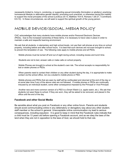necessarily limited to, living in, condoning, or supporting sexual immorality (fornication or adultery); practicing homosexual lifestyle or alternative gender identity; promoting such practices; or otherwise having the inability to support the moral principles of the school (Leviticus 20:13, Matthew 19:4-6, Romans 1:26-27, I Corinthians 6:9-10). In these circumstances, we will seek to support the spiritual growth of the young person.

## MOBILE DEVICE/SOCIAL MEDIA POLICY

CHC acknowledges that many students have mobile phones and/or Personal Electronic Devices (PEDs). Due to the increased ownership of these items, it is necessary to have rules in place in order to maintain a safe and respectful learning environment.

We ask that all students, in elementary and high school levels, not use their cell phones at any time on school property, including before and after school hours. It is best that such devices are not even brought to school, to prevent the temptation of use. The following rules apply to mobile phones and all PEDs.

- · Mobile phones must be turned off and out of sight during school, including recess and lunch time.
- Students are not to text, answer calls or make calls on school property.
- · Mobile Phones are brought to school at the student's own risk. The school accepts no responsibility for lost or stolen phones or PEDs.
- When parents need to contact their children or any other student during the day, it is appropriate to make contact via the school office, not via a student's mobile phone or PED.
- · Mobile phones and PEDs that are seen by staff will be confiscated and returned at the end of the day or at some later time if any of the above rules are not followed. If mobile phones or PEDs are continually misused by an individual student, some other consequence imposed by the Principal or Vice-Principal.
- · Another new and more common version of a PED is a Smart Watch (i.e. apple watch, etc.). We ask that students not wear these to school. If they are worn, they will be asked to be removed, and placed in the office until the end of the day.

#### **Facebook and other Social Media**

Be sensible about what you post on Facebook or any other online forum. Parents and students should avoid communicating online in any defamatory or derogatory way about any other student, staff member or the school in general. Unacceptable online communication my lead to serious consequences, including expulsion. It is good to keep in mind that the Facebook rules indicate that a child must be 13 years old before opening a Facebook account, and as we obey the laws of the land when they are not in opposition to the laws of God, we should hold to that rule.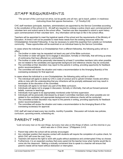## STAFF REQUIREMENTS

*"The servant of the Lord must not strive, but be gentle unto all men, apt to teach, patient, in meekness instructing those that oppose themselves…" (2 Timothy2:24)*

CHC staff members (principals, teachers, administration) are appointed by the Service Committee according to the constitution of the school (4.3). All staff are required to undergo a police check upon commencement of volunteer term and submit same to the school office. Teachers are also requested to submit a work history upon commencement of their volunteer term. Any information will be kept on file in the school office.

Teachers will be appointed to meet the logistical needs of the school and the requirements of the Ministry of Education. At times it will not be possible to meet these needs from the existing resources within the Christadelphian Amended Fellowship. It may be necessary to solicit this expertise from outside our immediate community. These opportunities will be examined on an individual basis by the Service Committee.

In cases where the individual is a Christadelphian from a different fellowship, the following policy will be in effect:

- 1. The brother or sister may be requested not teach any part of the Bible curriculum.
- 2. The brother or sister will agree not to engage in discussion, formally or informally, that will bring up areas of controversy that have affected our communities.
- 3. The brother or sister will be personally interviewed by at least 2 committee members (who when possible are not related to the candidate) and appropriate background and reference checks may be conducted.
- 4. The committee at their discretion may report to the parents in writing, providing opportunity for feedback and/or recommendations.
- 5. The committee will review the situation and make a recommendation to the Arranging Board(s) of the overseeing ecclesia(s) for final approval.

In cases where the individual is a non-Christadelphian, the following policy will be in effect:

- 1. The individual will agree to abide by CHC's code of conduct and to uphold Christian morals and ethics while on duty with the understanding that any infractions will be promptly addressed and may result in termination at the discretion of the committee.
- 2. Individuals will agree to not teach any part of the Bible curriculum.
- 3. Individuals will agree not to engage in discussion, formally or informally, that will put forward personal beliefs, nuances or teachings.
- 4. Individuals must agree to be appropriately monitored under full time supervision.
- 5. Individuals will be personally interviewed by at least 2 committee members (who when possible are not related to the candidate) and appropriate background and reference checks will be conducted.
- 6. The committee at their discretion may report to the parents in writing, providing opportunity for feedback and/or recommendations.
- 7. The committee will review the situation and make a recommendation to the Arranging Board of the overseeing ecclesia(s) for approval.

CHC staff will meet at least every two months, monthly if possible. Discussion will include new policies, curriculum, upcoming events, scheduling etc.

## PARENT HELP

*"Look not every man on his own things, but every man also on the things of others. Let this mind be in you which was also in Christ Jesus." (Philippians 2:4-5)*

- 1. Parent help within the school will be actively encouraged.
- 2. Any volunteer position that requires contact with students will require the completion of a police check, for which CHC will cover the cost, if any.
- 3. Teachers will reserve the right to work with pupils without assistance and uninterrupted if they so choose.
- 4. Furthermore, it is an expected courtesy that every parent let the teacher know when he/she would like to come into the classroom. Making a mutually convenient time to speak to a teacher will ensure that parent's needs will be heard without distraction or interruption.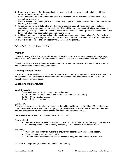- 5. Parent help is most useful when needs of the class and the teacher are considered along with the individual needs of their own child.
- 6. Parent concern about the needs of their child in the class should be discussed with the teacher at a mutually arranged time.
- 7. Confidentiality of information gathered from teachers, pupils and classrooms is imperative for the efficient harmony of the school.
- 8. Where a parent is out of fellowship with their home ecclesia, they will not be permitted to act in a supervisory role involving any school activities. They will be permitted to attend school functions as a parent or guardian (i.e. observer, driver). The school community is encouraged to act kindly and helpfully to this individual in an attempt to bring about reconciliation.
- 9. Additional opportunities for parental contributions include serving on subcommittees (ie. Fundraising), helping with driving, helping with Fun Lunches, etc. See Volunteer Information Form for additional ideas.
- 10. Parents are encouraged to participate in the General Meeting in May.

## MONITOR DUTIES

#### **Weather**

When it is raining, students must remain indoors. If it is drizzling, older students may go out, but younger ones will be kept in at the teacher or monitor's discretion. This is to avoid students having wet clothes.

When it is -15 Celsius, students will remain indoors as a general rule, however at the principal, teacher or monitor's discretion, students may go outdoors.

#### **Morning Monitor Duties**

There are no formal monitors on duty; however, parents may not drop off students unless there is an adult in the school building. Students are welcome to enter the school upon arrival (only if an adult is present) through the east entrance doors.

#### **Lunchtime Monitor Duties**

#### **Lunch Schedule**

Prayers will be given in class prior to lunch dismissal. 12:15 - 12:30pm Students to eat lunch in the lunch room (7/8 classroom) 12:30 - 1:00pm Outdoor recess 1:00pm Ring bell for entry

#### **Lunchroom**

We have a "15 minute rule" in effect, which means that all the children will sit for at least 15 minutes to eat lunch. This prevents the students from hurrying to get outside instead of finishing their lunches. Students that require more than 15 minutes are welcome to remain and finish their lunch.

First aid kits are located in the office and in the 7/8 classroom.

Warming Food:

• Students are not permitted to warm food. The microwaves are for staff use only. If parents are volunteering at the school they may assist only THEIR children to warm their lunch.

Monitoring:

- Walk around and monitor students to ensure they eat their main meal before dessert.
- Open containers for younger students.
- Students are to remain in seats until dismissed to playground as per the 15 minute rule.

Dismissal to playground: (an adult to remain in the lunchroom)